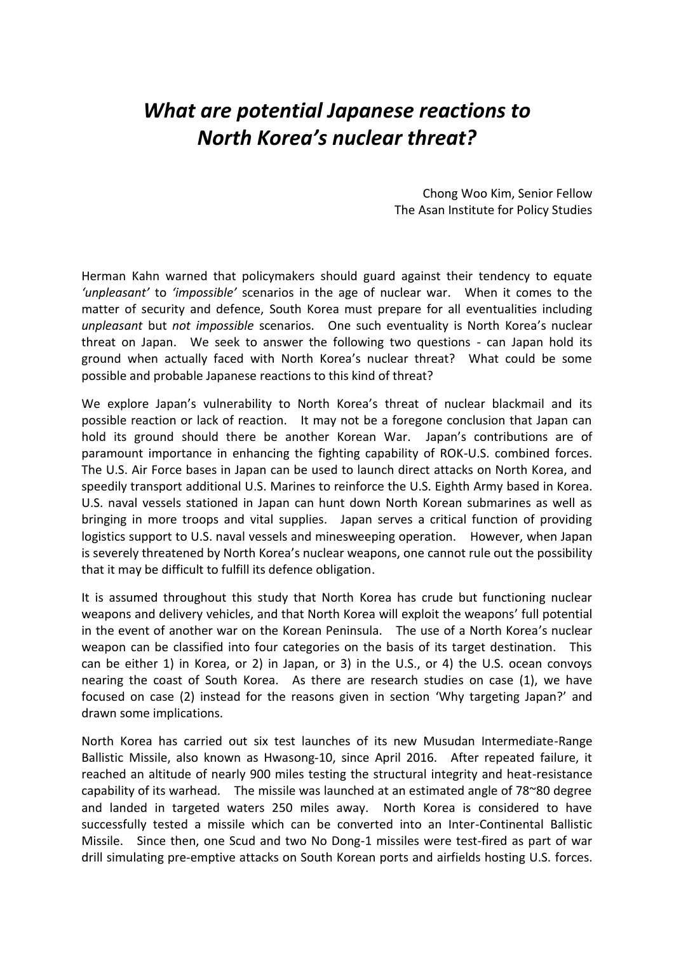# *What are potential Japanese reactions to North Korea's nuclear threat?*

Chong Woo Kim, Senior Fellow The Asan Institute for Policy Studies

Herman Kahn warned that policymakers should guard against their tendency to equate *'unpleasant'* to *'impossible'* scenarios in the age of nuclear war. When it comes to the matter of security and defence, South Korea must prepare for all eventualities including *unpleasant* but *not impossible* scenarios. One such eventuality is North Korea's nuclear threat on Japan. We seek to answer the following two questions - can Japan hold its ground when actually faced with North Korea's nuclear threat? What could be some possible and probable Japanese reactions to this kind of threat?

We explore Japan's vulnerability to North Korea's threat of nuclear blackmail and its possible reaction or lack of reaction. It may not be a foregone conclusion that Japan can hold its ground should there be another Korean War. Japan's contributions are of paramount importance in enhancing the fighting capability of ROK-U.S. combined forces. The U.S. Air Force bases in Japan can be used to launch direct attacks on North Korea, and speedily transport additional U.S. Marines to reinforce the U.S. Eighth Army based in Korea. U.S. naval vessels stationed in Japan can hunt down North Korean submarines as well as bringing in more troops and vital supplies. Japan serves a critical function of providing logistics support to U.S. naval vessels and minesweeping operation. However, when Japan is severely threatened by North Korea's nuclear weapons, one cannot rule out the possibility that it may be difficult to fulfill its defence obligation.

It is assumed throughout this study that North Korea has crude but functioning nuclear weapons and delivery vehicles, and that North Korea will exploit the weapons' full potential in the event of another war on the Korean Peninsula. The use of a North Korea's nuclear weapon can be classified into four categories on the basis of its target destination. This can be either 1) in Korea, or 2) in Japan, or 3) in the U.S., or 4) the U.S. ocean convoys nearing the coast of South Korea. As there are research studies on case (1), we have focused on case (2) instead for the reasons given in section 'Why targeting Japan?' and drawn some implications.

North Korea has carried out six test launches of its new Musudan Intermediate-Range Ballistic Missile, also known as Hwasong-10, since April 2016. After repeated failure, it reached an altitude of nearly 900 miles testing the structural integrity and heat-resistance capability of its warhead. The missile was launched at an estimated angle of 78~80 degree and landed in targeted waters 250 miles away. North Korea is considered to have successfully tested a missile which can be converted into an Inter-Continental Ballistic Missile. Since then, one Scud and two No Dong-1 missiles were test-fired as part of war drill simulating pre-emptive attacks on South Korean ports and airfields hosting U.S. forces.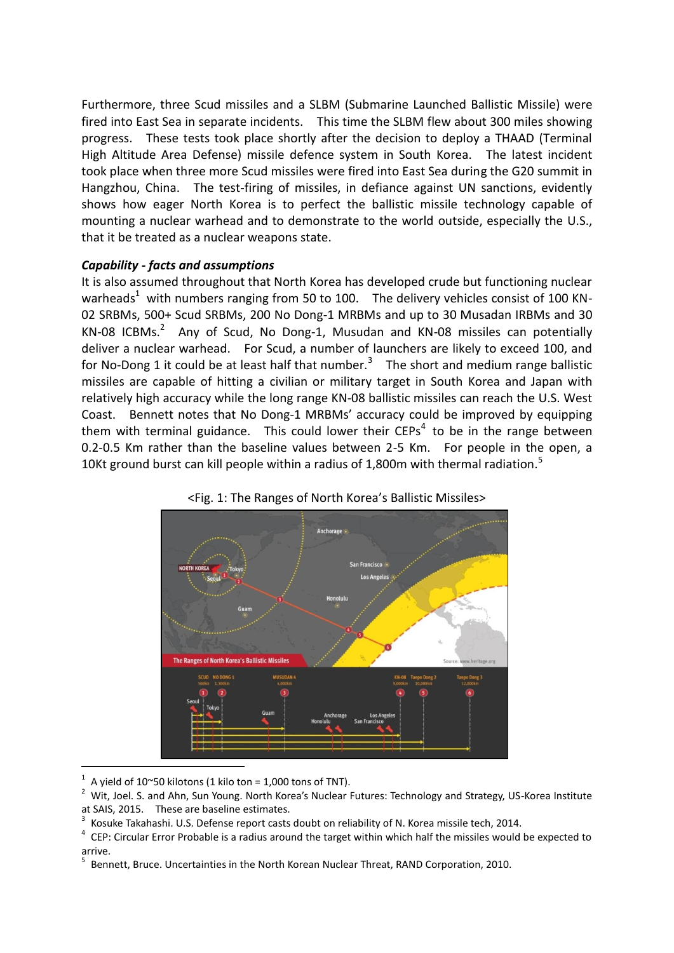Furthermore, three Scud missiles and a SLBM (Submarine Launched Ballistic Missile) were fired into East Sea in separate incidents. This time the SLBM flew about 300 miles showing progress. These tests took place shortly after the decision to deploy a THAAD (Terminal High Altitude Area Defense) missile defence system in South Korea. The latest incident took place when three more Scud missiles were fired into East Sea during the G20 summit in Hangzhou, China. The test-firing of missiles, in defiance against UN sanctions, evidently shows how eager North Korea is to perfect the ballistic missile technology capable of mounting a nuclear warhead and to demonstrate to the world outside, especially the U.S., that it be treated as a nuclear weapons state.

### *Capability - facts and assumptions*

It is also assumed throughout that North Korea has developed crude but functioning nuclear warheads<sup>1</sup> with numbers ranging from 50 to 100. The delivery vehicles consist of 100 KN-02 SRBMs, 500+ Scud SRBMs, 200 No Dong-1 MRBMs and up to 30 Musadan IRBMs and 30  $KN-08$  ICBMs.<sup>2</sup> Any of Scud, No Dong-1, Musudan and KN-08 missiles can potentially deliver a nuclear warhead. For Scud, a number of launchers are likely to exceed 100, and for No-Dong 1 it could be at least half that number.<sup>3</sup> The short and medium range ballistic missiles are capable of hitting a civilian or military target in South Korea and Japan with relatively high accuracy while the long range KN-08 ballistic missiles can reach the U.S. West Coast. Bennett notes that No Dong-1 MRBMs' accuracy could be improved by equipping them with terminal guidance. This could lower their CEPs<sup>4</sup> to be in the range between 0.2-0.5 Km rather than the baseline values between 2-5 Km. For people in the open, a 10Kt ground burst can kill people within a radius of 1,800m with thermal radiation.<sup>5</sup>



<Fig. 1: The Ranges of North Korea's Ballistic Missiles>

1 A yield of 10~50 kilotons (1 kilo ton = 1,000 tons of TNT).

<sup>2</sup> Wit, Joel. S. and Ahn, Sun Young. North Korea's Nuclear Futures: Technology and Strategy, US-Korea Institute at SAIS, 2015. These are baseline estimates.

<sup>3</sup> Kosuke Takahashi. U.S. Defense report casts doubt on reliability of N. Korea missile tech, 2014.

<sup>4</sup> CEP: Circular Error Probable is a radius around the target within which half the missiles would be expected to arrive.

<sup>&</sup>lt;sup>5</sup> Bennett, Bruce. Uncertainties in the North Korean Nuclear Threat, RAND Corporation, 2010.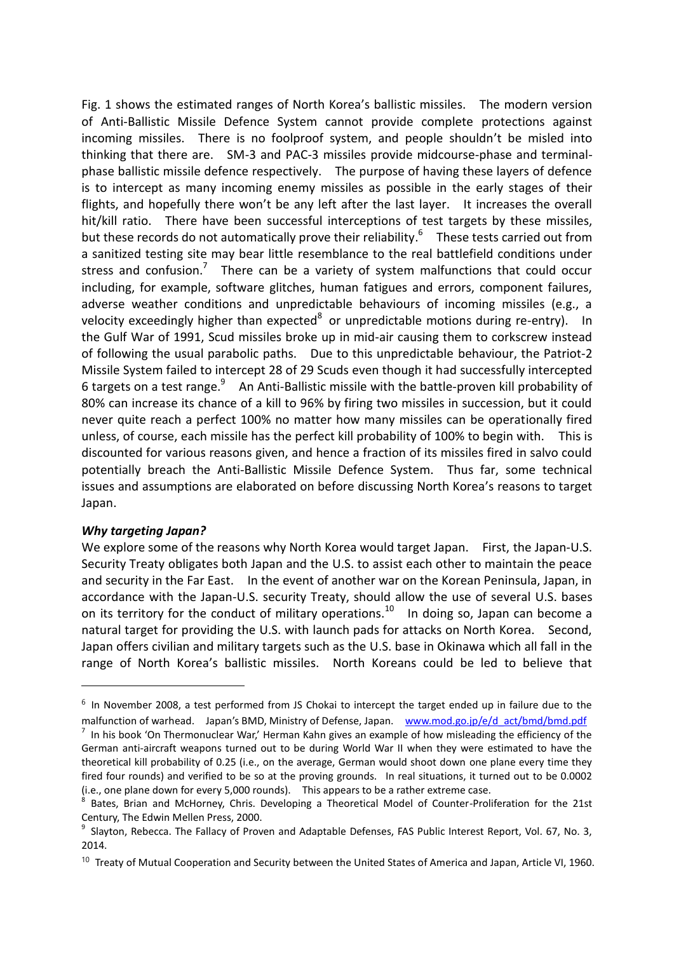Fig. 1 shows the estimated ranges of North Korea's ballistic missiles. The modern version of Anti-Ballistic Missile Defence System cannot provide complete protections against incoming missiles. There is no foolproof system, and people shouldn't be misled into thinking that there are. SM-3 and PAC-3 missiles provide midcourse-phase and terminalphase ballistic missile defence respectively. The purpose of having these layers of defence is to intercept as many incoming enemy missiles as possible in the early stages of their flights, and hopefully there won't be any left after the last layer. It increases the overall hit/kill ratio. There have been successful interceptions of test targets by these missiles, but these records do not automatically prove their reliability.<sup>6</sup> These tests carried out from a sanitized testing site may bear little resemblance to the real battlefield conditions under stress and confusion.<sup>7</sup> There can be a variety of system malfunctions that could occur including, for example, software glitches, human fatigues and errors, component failures, adverse weather conditions and unpredictable behaviours of incoming missiles (e.g., a velocity exceedingly higher than expected<sup>8</sup> or unpredictable motions during re-entry). In the Gulf War of 1991, Scud missiles broke up in mid-air causing them to corkscrew instead of following the usual parabolic paths. Due to this unpredictable behaviour, the Patriot-2 Missile System failed to intercept 28 of 29 Scuds even though it had successfully intercepted 6 targets on a test range.<sup>9</sup> An Anti-Ballistic missile with the battle-proven kill probability of 80% can increase its chance of a kill to 96% by firing two missiles in succession, but it could never quite reach a perfect 100% no matter how many missiles can be operationally fired unless, of course, each missile has the perfect kill probability of 100% to begin with. This is discounted for various reasons given, and hence a fraction of its missiles fired in salvo could potentially breach the Anti-Ballistic Missile Defence System. Thus far, some technical issues and assumptions are elaborated on before discussing North Korea's reasons to target Japan.

#### *Why targeting Japan?*

-

We explore some of the reasons why North Korea would target Japan. First, the Japan-U.S. Security Treaty obligates both Japan and the U.S. to assist each other to maintain the peace and security in the Far East. In the event of another war on the Korean Peninsula, Japan, in accordance with the Japan-U.S. security Treaty, should allow the use of several U.S. bases on its territory for the conduct of military operations.<sup>10</sup> In doing so, Japan can become a natural target for providing the U.S. with launch pads for attacks on North Korea. Second, Japan offers civilian and military targets such as the U.S. base in Okinawa which all fall in the range of North Korea's ballistic missiles. North Koreans could be led to believe that

 $6$  In November 2008, a test performed from JS Chokai to intercept the target ended up in failure due to the malfunction of warhead. Japan's BMD, Ministry of Defense, Japan. [www.mod.go.jp/e/d\\_act/bmd/bmd.pdf](http://www.mod.go.jp/e/d_act/bmd/bmd.pdf)

<sup>7</sup> In his book 'On Thermonuclear War,' Herman Kahn gives an example of how misleading the efficiency of the German anti-aircraft weapons turned out to be during World War II when they were estimated to have the theoretical kill probability of 0.25 (i.e., on the average, German would shoot down one plane every time they fired four rounds) and verified to be so at the proving grounds. In real situations, it turned out to be 0.0002 (i.e., one plane down for every 5,000 rounds). This appears to be a rather extreme case.

<sup>8</sup> Bates, Brian and McHorney, Chris. Developing a Theoretical Model of Counter-Proliferation for the 21st Century, The Edwin Mellen Press, 2000.

<sup>9</sup> Slayton, Rebecca. The Fallacy of Proven and Adaptable Defenses, FAS Public Interest Report, Vol. 67, No. 3, 2014.

<sup>&</sup>lt;sup>10</sup> Treaty of Mutual Cooperation and Security between the United States of America and Japan, Article VI, 1960.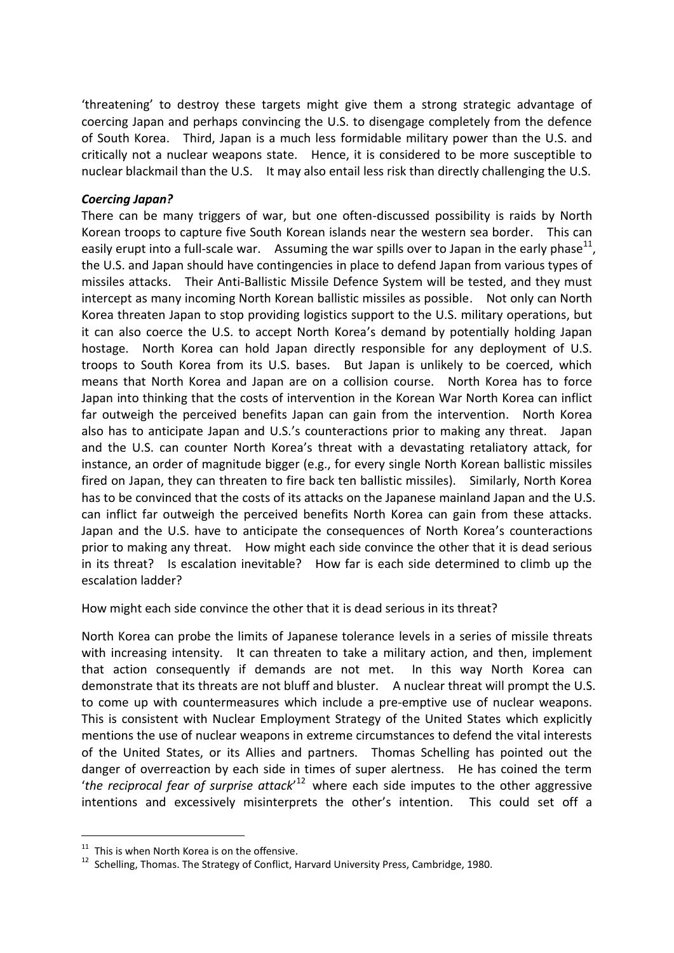'threatening' to destroy these targets might give them a strong strategic advantage of coercing Japan and perhaps convincing the U.S. to disengage completely from the defence of South Korea. Third, Japan is a much less formidable military power than the U.S. and critically not a nuclear weapons state. Hence, it is considered to be more susceptible to nuclear blackmail than the U.S. It may also entail less risk than directly challenging the U.S.

#### *Coercing Japan?*

There can be many triggers of war, but one often-discussed possibility is raids by North Korean troops to capture five South Korean islands near the western sea border. This can easily erupt into a full-scale war. Assuming the war spills over to Japan in the early phase<sup>11</sup>, the U.S. and Japan should have contingencies in place to defend Japan from various types of missiles attacks. Their Anti-Ballistic Missile Defence System will be tested, and they must intercept as many incoming North Korean ballistic missiles as possible. Not only can North Korea threaten Japan to stop providing logistics support to the U.S. military operations, but it can also coerce the U.S. to accept North Korea's demand by potentially holding Japan hostage. North Korea can hold Japan directly responsible for any deployment of U.S. troops to South Korea from its U.S. bases. But Japan is unlikely to be coerced, which means that North Korea and Japan are on a collision course. North Korea has to force Japan into thinking that the costs of intervention in the Korean War North Korea can inflict far outweigh the perceived benefits Japan can gain from the intervention. North Korea also has to anticipate Japan and U.S.'s counteractions prior to making any threat. Japan and the U.S. can counter North Korea's threat with a devastating retaliatory attack, for instance, an order of magnitude bigger (e.g., for every single North Korean ballistic missiles fired on Japan, they can threaten to fire back ten ballistic missiles). Similarly, North Korea has to be convinced that the costs of its attacks on the Japanese mainland Japan and the U.S. can inflict far outweigh the perceived benefits North Korea can gain from these attacks. Japan and the U.S. have to anticipate the consequences of North Korea's counteractions prior to making any threat. How might each side convince the other that it is dead serious in its threat? Is escalation inevitable? How far is each side determined to climb up the escalation ladder?

How might each side convince the other that it is dead serious in its threat?

North Korea can probe the limits of Japanese tolerance levels in a series of missile threats with increasing intensity. It can threaten to take a military action, and then, implement that action consequently if demands are not met. In this way North Korea can demonstrate that its threats are not bluff and bluster. A nuclear threat will prompt the U.S. to come up with countermeasures which include a pre-emptive use of nuclear weapons. This is consistent with Nuclear Employment Strategy of the United States which explicitly mentions the use of nuclear weapons in extreme circumstances to defend the vital interests of the United States, or its Allies and partners. Thomas Schelling has pointed out the danger of overreaction by each side in times of super alertness. He has coined the term '*the reciprocal fear of surprise attack*' <sup>12</sup> where each side imputes to the other aggressive intentions and excessively misinterprets the other's intention. This could set off a

 $11$  This is when North Korea is on the offensive.

<sup>&</sup>lt;sup>12</sup> Schelling, Thomas. The Strategy of Conflict, Harvard University Press, Cambridge, 1980.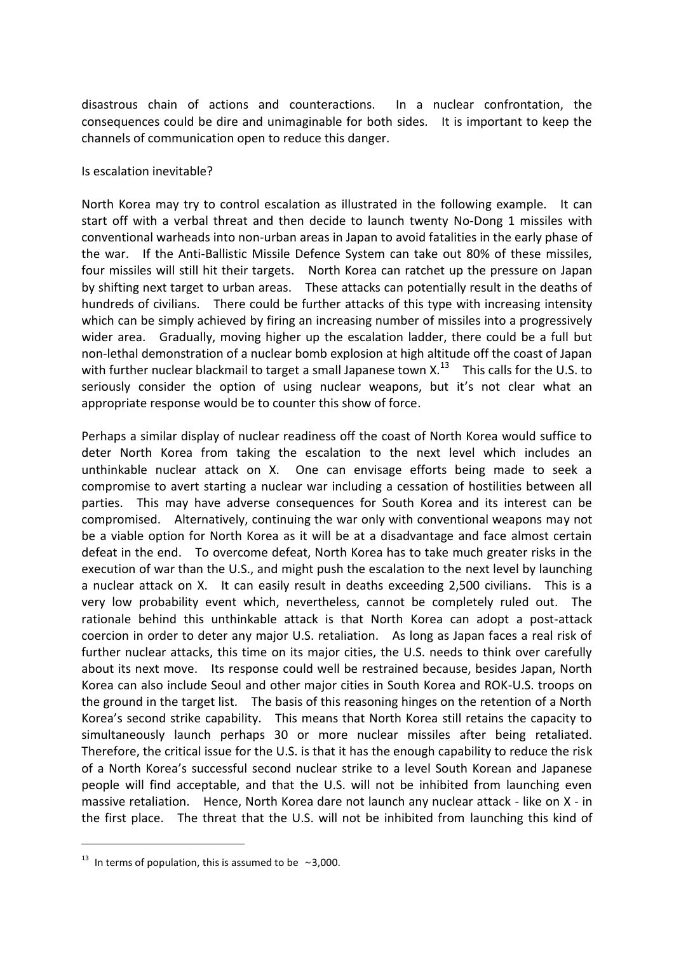disastrous chain of actions and counteractions. In a nuclear confrontation, the consequences could be dire and unimaginable for both sides. It is important to keep the channels of communication open to reduce this danger.

#### Is escalation inevitable?

North Korea may try to control escalation as illustrated in the following example. It can start off with a verbal threat and then decide to launch twenty No-Dong 1 missiles with conventional warheads into non-urban areas in Japan to avoid fatalities in the early phase of the war. If the Anti-Ballistic Missile Defence System can take out 80% of these missiles, four missiles will still hit their targets. North Korea can ratchet up the pressure on Japan by shifting next target to urban areas. These attacks can potentially result in the deaths of hundreds of civilians. There could be further attacks of this type with increasing intensity which can be simply achieved by firing an increasing number of missiles into a progressively wider area. Gradually, moving higher up the escalation ladder, there could be a full but non-lethal demonstration of a nuclear bomb explosion at high altitude off the coast of Japan with further nuclear blackmail to target a small Japanese town  $X$ .<sup>13</sup> This calls for the U.S. to seriously consider the option of using nuclear weapons, but it's not clear what an appropriate response would be to counter this show of force.

Perhaps a similar display of nuclear readiness off the coast of North Korea would suffice to deter North Korea from taking the escalation to the next level which includes an unthinkable nuclear attack on X. One can envisage efforts being made to seek a compromise to avert starting a nuclear war including a cessation of hostilities between all parties. This may have adverse consequences for South Korea and its interest can be compromised. Alternatively, continuing the war only with conventional weapons may not be a viable option for North Korea as it will be at a disadvantage and face almost certain defeat in the end. To overcome defeat, North Korea has to take much greater risks in the execution of war than the U.S., and might push the escalation to the next level by launching a nuclear attack on X. It can easily result in deaths exceeding 2,500 civilians. This is a very low probability event which, nevertheless, cannot be completely ruled out. The rationale behind this unthinkable attack is that North Korea can adopt a post-attack coercion in order to deter any major U.S. retaliation. As long as Japan faces a real risk of further nuclear attacks, this time on its major cities, the U.S. needs to think over carefully about its next move. Its response could well be restrained because, besides Japan, North Korea can also include Seoul and other major cities in South Korea and ROK-U.S. troops on the ground in the target list. The basis of this reasoning hinges on the retention of a North Korea's second strike capability. This means that North Korea still retains the capacity to simultaneously launch perhaps 30 or more nuclear missiles after being retaliated. Therefore, the critical issue for the U.S. is that it has the enough capability to reduce the risk of a North Korea's successful second nuclear strike to a level South Korean and Japanese people will find acceptable, and that the U.S. will not be inhibited from launching even massive retaliation. Hence, North Korea dare not launch any nuclear attack - like on X - in the first place. The threat that the U.S. will not be inhibited from launching this kind of

 $13$  In terms of population, this is assumed to be ~3,000.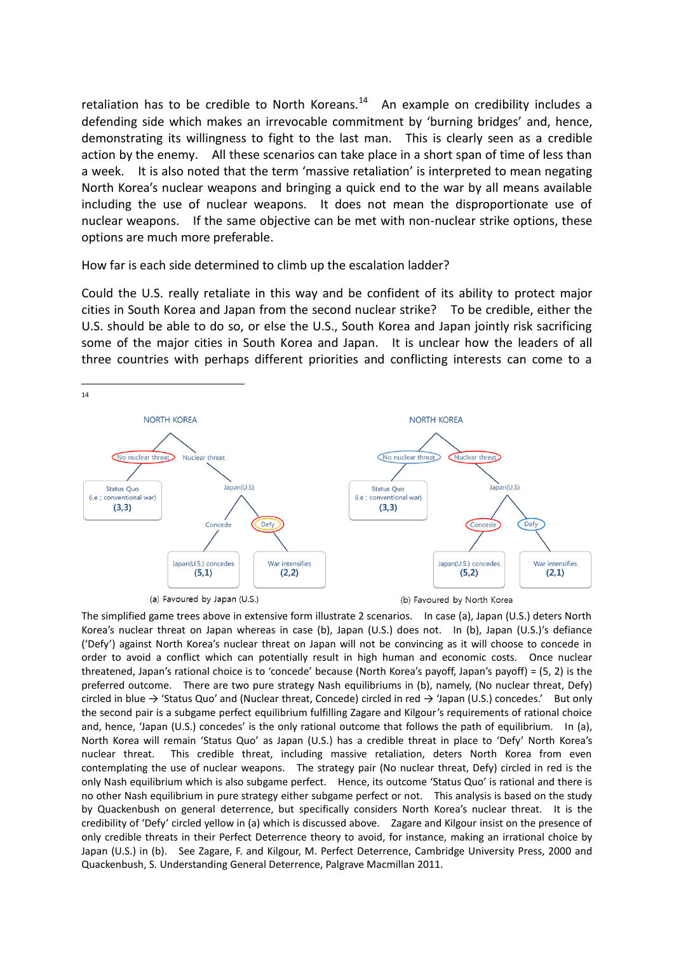retaliation has to be credible to North Koreans. $14$  An example on credibility includes a defending side which makes an irrevocable commitment by 'burning bridges' and, hence, demonstrating its willingness to fight to the last man. This is clearly seen as a credible action by the enemy. All these scenarios can take place in a short span of time of less than a week. It is also noted that the term 'massive retaliation' is interpreted to mean negating North Korea's nuclear weapons and bringing a quick end to the war by all means available including the use of nuclear weapons. It does not mean the disproportionate use of nuclear weapons. If the same objective can be met with non-nuclear strike options, these options are much more preferable.

How far is each side determined to climb up the escalation ladder?

Could the U.S. really retaliate in this way and be confident of its ability to protect major cities in South Korea and Japan from the second nuclear strike? To be credible, either the U.S. should be able to do so, or else the U.S., South Korea and Japan jointly risk sacrificing some of the major cities in South Korea and Japan. It is unclear how the leaders of all three countries with perhaps different priorities and conflicting interests can come to a



The simplified game trees above in extensive form illustrate 2 scenarios. In case (a), Japan (U.S.) deters North Korea's nuclear threat on Japan whereas in case (b), Japan (U.S.) does not. In (b), Japan (U.S.)'s defiance ('Defy') against North Korea's nuclear threat on Japan will not be convincing as it will choose to concede in order to avoid a conflict which can potentially result in high human and economic costs. Once nuclear threatened, Japan's rational choice is to 'concede' because (North Korea's payoff, Japan's payoff) = (5, 2) is the preferred outcome. There are two pure strategy Nash equilibriums in (b), namely, (No nuclear threat, Defy) circled in blue  $\rightarrow$  'Status Quo' and (Nuclear threat, Concede) circled in red  $\rightarrow$  'Japan (U.S.) concedes.' But only the second pair is a subgame perfect equilibrium fulfilling Zagare and Kilgour's requirements of rational choice and, hence, 'Japan (U.S.) concedes' is the only rational outcome that follows the path of equilibrium. In (a), North Korea will remain 'Status Quo' as Japan (U.S.) has a credible threat in place to 'Defy' North Korea's nuclear threat. This credible threat, including massive retaliation, deters North Korea from even contemplating the use of nuclear weapons. The strategy pair (No nuclear threat, Defy) circled in red is the only Nash equilibrium which is also subgame perfect. Hence, its outcome 'Status Quo' is rational and there is no other Nash equilibrium in pure strategy either subgame perfect or not. This analysis is based on the study by Quackenbush on general deterrence, but specifically considers North Korea's nuclear threat. It is the credibility of 'Defy' circled yellow in (a) which is discussed above. Zagare and Kilgour insist on the presence of only credible threats in their Perfect Deterrence theory to avoid, for instance, making an irrational choice by Japan (U.S.) in (b). See Zagare, F. and Kilgour, M. Perfect Deterrence, Cambridge University Press, 2000 and Quackenbush, S. Understanding General Deterrence, Palgrave Macmillan 2011.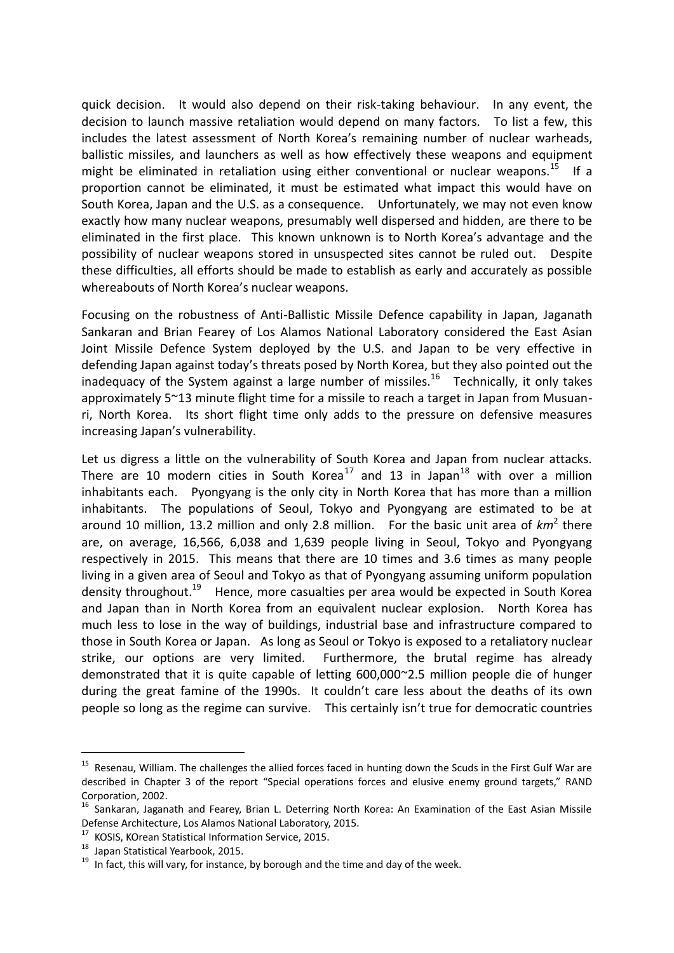quick decision. It would also depend on their risk-taking behaviour. In any event, the decision to launch massive retaliation would depend on many factors. To list a few, this includes the latest assessment of North Korea's remaining number of nuclear warheads, ballistic missiles, and launchers as well as how effectively these weapons and equipment might be eliminated in retaliation using either conventional or nuclear weapons.<sup>15</sup> If a proportion cannot be eliminated, it must be estimated what impact this would have on South Korea, Japan and the U.S. as a consequence. Unfortunately, we may not even know exactly how many nuclear weapons, presumably well dispersed and hidden, are there to be eliminated in the first place. This known unknown is to North Korea's advantage and the possibility of nuclear weapons stored in unsuspected sites cannot be ruled out. Despite these difficulties, all efforts should be made to establish as early and accurately as possible whereabouts of North Korea's nuclear weapons.

Focusing on the robustness of Anti-Ballistic Missile Defence capability in Japan, Jaganath Sankaran and Brian Fearey of Los Alamos National Laboratory considered the East Asian Joint Missile Defence System deployed by the U.S. and Japan to be very effective in defending Japan against today's threats posed by North Korea, but they also pointed out the inadequacy of the System against a large number of missiles.<sup>16</sup> Technically, it only takes approximately 5~13 minute flight time for a missile to reach a target in Japan from Musuanri, North Korea. Its short flight time only adds to the pressure on defensive measures increasing Japan's vulnerability.

Let us digress a little on the vulnerability of South Korea and Japan from nuclear attacks. There are 10 modern cities in South Korea<sup>17</sup> and 13 in Japan<sup>18</sup> with over a million inhabitants each. Pyongyang is the only city in North Korea that has more than a million inhabitants. The populations of Seoul, Tokyo and Pyongyang are estimated to be at around 10 million, 13.2 million and only 2.8 million. For the basic unit area of  $km^2$  there are, on average, 16,566, 6,038 and 1,639 people living in Seoul, Tokyo and Pyongyang respectively in 2015. This means that there are 10 times and 3.6 times as many people living in a given area of Seoul and Tokyo as that of Pyongyang assuming uniform population density throughout.<sup>19</sup> Hence, more casualties per area would be expected in South Korea and Japan than in North Korea from an equivalent nuclear explosion. North Korea has much less to lose in the way of buildings, industrial base and infrastructure compared to those in South Korea or Japan. As long as Seoul or Tokyo is exposed to a retaliatory nuclear strike, our options are very limited. Furthermore, the brutal regime has already demonstrated that it is quite capable of letting 600,000~2.5 million people die of hunger during the great famine of the 1990s. It couldn't care less about the deaths of its own people so long as the regime can survive. This certainly isn't true for democratic countries

<sup>&</sup>lt;sup>15</sup> Resenau, William. The challenges the allied forces faced in hunting down the Scuds in the First Gulf War are described in Chapter 3 of the report "Special operations forces and elusive enemy ground targets," RAND Corporation, 2002.

<sup>&</sup>lt;sup>16</sup> Sankaran, Jaganath and Fearey, Brian L. Deterring North Korea: An Examination of the East Asian Missile Defense Architecture, Los Alamos National Laboratory, 2015.

<sup>17</sup> KOSIS, KOrean Statistical Information Service, 2015.

<sup>18</sup> Japan Statistical Yearbook, 2015.

 $19$  In fact, this will vary, for instance, by borough and the time and day of the week.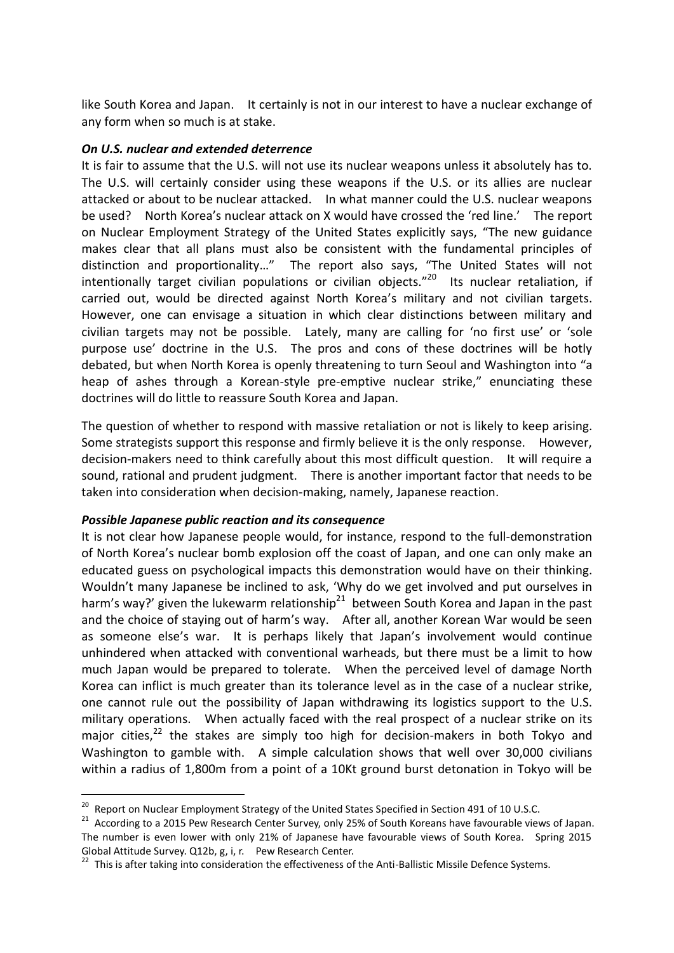like South Korea and Japan. It certainly is not in our interest to have a nuclear exchange of any form when so much is at stake.

#### *On U.S. nuclear and extended deterrence*

It is fair to assume that the U.S. will not use its nuclear weapons unless it absolutely has to. The U.S. will certainly consider using these weapons if the U.S. or its allies are nuclear attacked or about to be nuclear attacked. In what manner could the U.S. nuclear weapons be used? North Korea's nuclear attack on X would have crossed the 'red line.' The report on Nuclear Employment Strategy of the United States explicitly says, "The new guidance makes clear that all plans must also be consistent with the fundamental principles of distinction and proportionality…" The report also says, "The United States will not intentionally target civilian populations or civilian objects."<sup>20</sup> Its nuclear retaliation, if carried out, would be directed against North Korea's military and not civilian targets. However, one can envisage a situation in which clear distinctions between military and civilian targets may not be possible. Lately, many are calling for 'no first use' or 'sole purpose use' doctrine in the U.S. The pros and cons of these doctrines will be hotly debated, but when North Korea is openly threatening to turn Seoul and Washington into "a heap of ashes through a Korean-style pre-emptive nuclear strike," enunciating these doctrines will do little to reassure South Korea and Japan.

The question of whether to respond with massive retaliation or not is likely to keep arising. Some strategists support this response and firmly believe it is the only response. However, decision-makers need to think carefully about this most difficult question. It will require a sound, rational and prudent judgment. There is another important factor that needs to be taken into consideration when decision-making, namely, Japanese reaction.

#### *Possible Japanese public reaction and its consequence*

-

It is not clear how Japanese people would, for instance, respond to the full-demonstration of North Korea's nuclear bomb explosion off the coast of Japan, and one can only make an educated guess on psychological impacts this demonstration would have on their thinking. Wouldn't many Japanese be inclined to ask, 'Why do we get involved and put ourselves in harm's way?' given the lukewarm relationship<sup>21</sup> between South Korea and Japan in the past and the choice of staying out of harm's way. After all, another Korean War would be seen as someone else's war. It is perhaps likely that Japan's involvement would continue unhindered when attacked with conventional warheads, but there must be a limit to how much Japan would be prepared to tolerate. When the perceived level of damage North Korea can inflict is much greater than its tolerance level as in the case of a nuclear strike, one cannot rule out the possibility of Japan withdrawing its logistics support to the U.S. military operations. When actually faced with the real prospect of a nuclear strike on its major cities,<sup>22</sup> the stakes are simply too high for decision-makers in both Tokyo and Washington to gamble with. A simple calculation shows that well over 30,000 civilians within a radius of 1,800m from a point of a 10Kt ground burst detonation in Tokyo will be

<sup>&</sup>lt;sup>20</sup> Report on Nuclear Employment Strategy of the United States Specified in Section 491 of 10 U.S.C.

<sup>&</sup>lt;sup>21</sup> According to a 2015 Pew Research Center Survey, only 25% of South Koreans have favourable views of Japan. The number is even lower with only 21% of Japanese have favourable views of South Korea. Spring 2015 Global Attitude Survey. Q12b, g, i, r. Pew Research Center.

<sup>&</sup>lt;sup>22</sup> This is after taking into consideration the effectiveness of the Anti-Ballistic Missile Defence Systems.